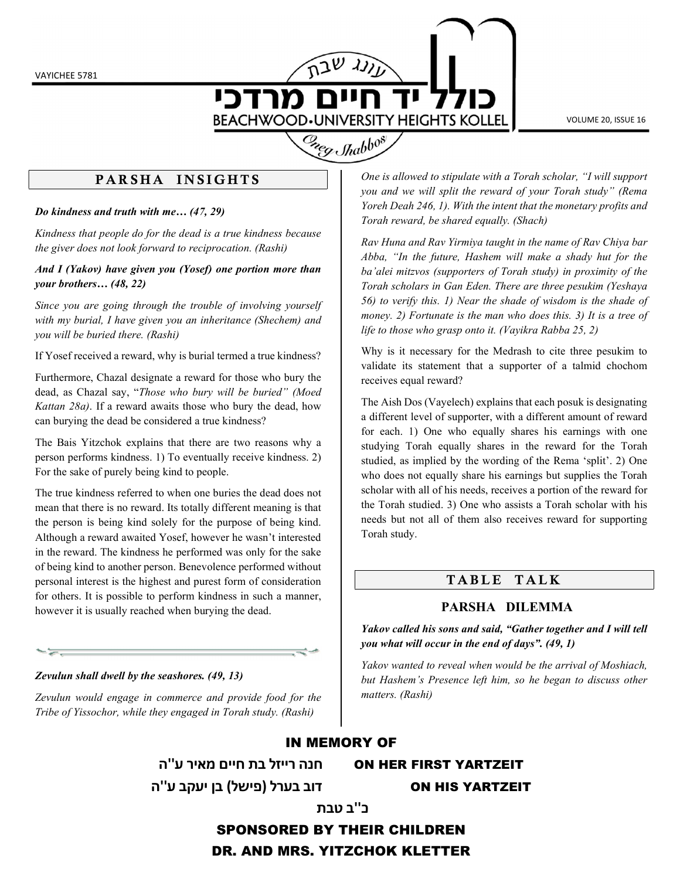VAYICHEE 5781

מרדכי **BEACHWOOD.UNIVERSITY HEIGHTS KOLLEL** 

VOLUME 20, ISSUE 16



## PARSHA INSIGHTS

Do kindness and truth with me… (47, 29)

Kindness that people do for the dead is a true kindness because the giver does not look forward to reciprocation. (Rashi)

#### And I (Yakov) have given you (Yosef) one portion more than your brothers… (48, 22)

Since you are going through the trouble of involving yourself with my burial, I have given you an inheritance (Shechem) and you will be buried there. (Rashi)

If Yosef received a reward, why is burial termed a true kindness?

Furthermore, Chazal designate a reward for those who bury the dead, as Chazal say, "Those who bury will be buried" (Moed Kattan 28a). If a reward awaits those who bury the dead, how can burying the dead be considered a true kindness?

The Bais Yitzchok explains that there are two reasons why a person performs kindness. 1) To eventually receive kindness. 2) For the sake of purely being kind to people.

The true kindness referred to when one buries the dead does not mean that there is no reward. Its totally different meaning is that the person is being kind solely for the purpose of being kind. Although a reward awaited Yosef, however he wasn't interested in the reward. The kindness he performed was only for the sake of being kind to another person. Benevolence performed without personal interest is the highest and purest form of consideration for others. It is possible to perform kindness in such a manner, however it is usually reached when burying the dead.

Zevulun shall dwell by the seashores. (49, 13)

Zevulun would engage in commerce and provide food for the Tribe of Yissochor, while they engaged in Torah study. (Rashi)

One is allowed to stipulate with a Torah scholar, "I will support you and we will split the reward of your Torah study" (Rema Yoreh Deah 246, 1). With the intent that the monetary profits and Torah reward, be shared equally. (Shach)

Rav Huna and Rav Yirmiya taught in the name of Rav Chiya bar Abba, "In the future, Hashem will make a shady hut for the ba'alei mitzvos (supporters of Torah study) in proximity of the Torah scholars in Gan Eden. There are three pesukim (Yeshaya 56) to verify this. 1) Near the shade of wisdom is the shade of money. 2) Fortunate is the man who does this. 3) It is a tree of life to those who grasp onto it. (Vayikra Rabba 25, 2)

Why is it necessary for the Medrash to cite three pesukim to validate its statement that a supporter of a talmid chochom receives equal reward?

The Aish Dos (Vayelech) explains that each posuk is designating a different level of supporter, with a different amount of reward for each. 1) One who equally shares his earnings with one studying Torah equally shares in the reward for the Torah studied, as implied by the wording of the Rema 'split'. 2) One who does not equally share his earnings but supplies the Torah scholar with all of his needs, receives a portion of the reward for the Torah studied. 3) One who assists a Torah scholar with his needs but not all of them also receives reward for supporting Torah study.

## TABLE TALK

### PARSHA DILEMMA

Yakov called his sons and said, "Gather together and I will tell you what will occur in the end of days". (49, 1)

Yakov wanted to reveal when would be the arrival of Moshiach, but Hashem's Presence left him, so he began to discuss other matters. (Rashi)

#### IN MEMORY OF

YARTZEIT FIRST HER ON חנה רייזל בת חיים מאיר ע''ה YARTZEIT HIS ON דוב בערל (פישל) בן יעקב ע''ה

# כ''ב טבת

SPONSORED BY THEIR CHILDREN

DR. AND MRS. YITZCHOK KLETTER